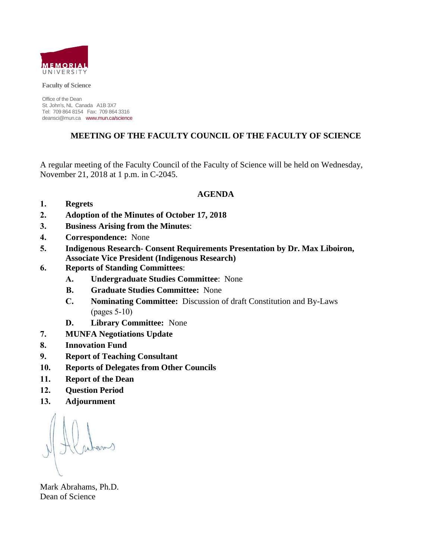

**Faculty of Science**

Office of the Dean St. John's, NL Canada A1B 3X7 Tel: 709 864 8154 Fax: 709 864 3316 deansci@mun.ca www.mun.ca/science

# **MEETING OF THE FACULTY COUNCIL OF THE FACULTY OF SCIENCE**

A regular meeting of the Faculty Council of the Faculty of Science will be held on Wednesday, November 21, 2018 at 1 p.m. in C-2045.

### **AGENDA**

- **1. Regrets**
- **2. Adoption of the Minutes of October 17, 2018**
- **3. Business Arising from the Minutes**:
- **4. Correspondence:** None
- **5. Indigenous Research- Consent Requirements Presentation by Dr. Max Liboiron, Associate Vice President (Indigenous Research)**
- **6. Reports of Standing Committees**:
	- **A. Undergraduate Studies Committee**: None
	- **B. Graduate Studies Committee:** None
	- **C. Nominating Committee:** Discussion of draft Constitution and By-Laws (pages 5-10)
	- **D. Library Committee:** None
- **7. MUNFA Negotiations Update**
- **8. Innovation Fund**
- **9. Report of Teaching Consultant**
- **10. Reports of Delegates from Other Councils**
- **11. Report of the Dean**
- **12. Question Period**
- **13. Adjournment**

Mark Abrahams, Ph.D. Dean of Science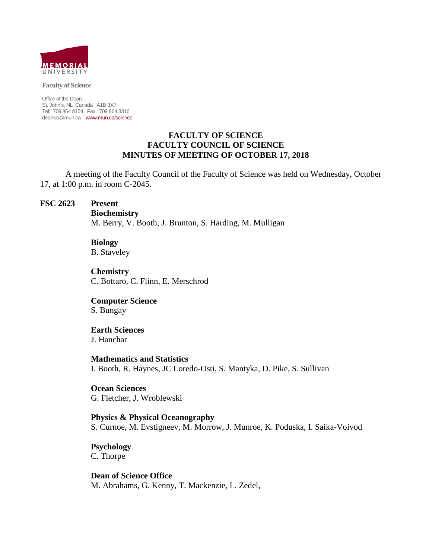

#### **Faculty of Science**

Office of the Dean St. John's, NL Canada A1B 3X7 Tel: 709 864 8154 Fax: 709 864 3316 deansci@mun.ca www.mun.ca/science

### **FACULTY OF SCIENCE FACULTY COUNCIL OF SCIENCE MINUTES OF MEETING OF OCTOBER 17, 2018**

A meeting of the Faculty Council of the Faculty of Science was held on Wednesday, October 17, at 1:00 p.m. in room C-2045.

### **FSC 2623 Present**

**Biochemistry**

M. Berry, V. Booth, J. Brunton, S. Harding, M. Mulligan

# **Biology**

B. Staveley

**Chemistry** C. Bottaro, C. Flinn, E. Merschrod

**Computer Science** S. Bungay

# **Earth Sciences**

J. Hanchar

### **Mathematics and Statistics**

I. Booth, R. Haynes, JC Loredo-Osti, S. Mantyka, D. Pike, S. Sullivan

**Ocean Sciences** G. Fletcher, J. Wroblewski

**Physics & Physical Oceanography**  S. Curnoe, M. Evstigneev, M. Morrow, J. Munroe, K. Poduska, I. Saika-Voivod

**Psychology** C. Thorpe

**Dean of Science Office** M. Abrahams, G. Kenny, T. Mackenzie, L. Zedel,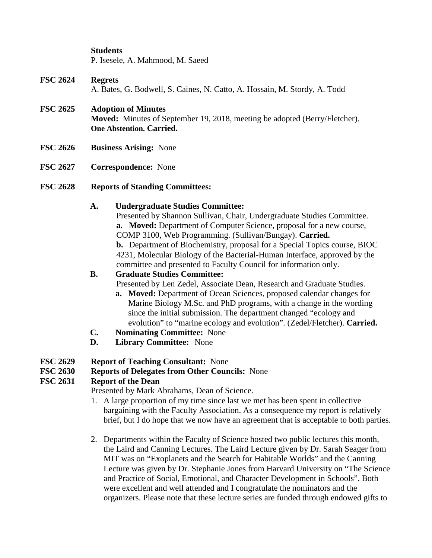# **Students**

P. Isesele, A. Mahmood, M. Saeed

- **FSC 2624 Regrets** A. Bates, G. Bodwell, S. Caines, N. Catto, A. Hossain, M. Stordy, A. Todd
- **FSC 2625 Adoption of Minutes Moved:** Minutes of September 19, 2018, meeting be adopted (Berry/Fletcher). **One Abstention. Carried.**
- **FSC 2626 Business Arising:** None
- **FSC 2627 Correspondence:** None
- **FSC 2628 Reports of Standing Committees:**

# **A. Undergraduate Studies Committee:**

Presented by Shannon Sullivan, Chair, Undergraduate Studies Committee. **a. Moved:** Department of Computer Science, proposal for a new course, COMP 3100, Web Programming. (Sullivan/Bungay). **Carried. b.** Department of Biochemistry, proposal for a Special Topics course, BIOC 4231, Molecular Biology of the Bacterial-Human Interface, approved by the committee and presented to Faculty Council for information only.

# **B. Graduate Studies Committee:**

Presented by Len Zedel, Associate Dean, Research and Graduate Studies.

- **a. Moved:** Department of Ocean Sciences, proposed calendar changes for Marine Biology M.Sc. and PhD programs, with a change in the wording since the initial submission. The department changed "ecology and evolution" to "marine ecology and evolution". (Zedel/Fletcher). **Carried.**
- **C. Nominating Committee:** None
- **D. Library Committee:** None
- **FSC 2629 Report of Teaching Consultant:** None

# **FSC 2630 Reports of Delegates from Other Councils:** None

# **FSC 2631 Report of the Dean**

Presented by Mark Abrahams, Dean of Science.

- 1. A large proportion of my time since last we met has been spent in collective bargaining with the Faculty Association. As a consequence my report is relatively brief, but I do hope that we now have an agreement that is acceptable to both parties.
- 2. Departments within the Faculty of Science hosted two public lectures this month, the Laird and Canning Lectures. The Laird Lecture given by Dr. Sarah Seager from MIT was on "Exoplanets and the Search for Habitable Worlds" and the Canning Lecture was given by Dr. Stephanie Jones from Harvard University on "The Science and Practice of Social, Emotional, and Character Development in Schools". Both were excellent and well attended and I congratulate the nominators and the organizers. Please note that these lecture series are funded through endowed gifts to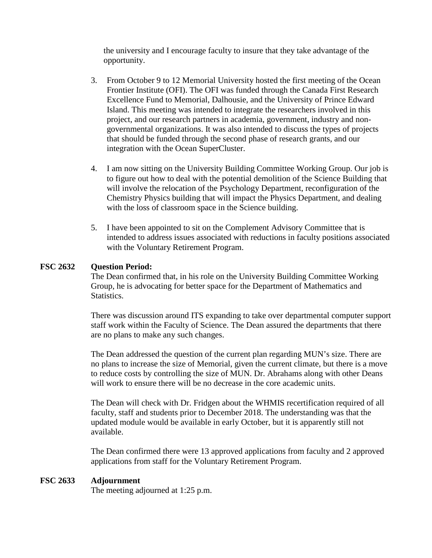the university and I encourage faculty to insure that they take advantage of the opportunity.

- 3. From October 9 to 12 Memorial University hosted the first meeting of the Ocean Frontier Institute (OFI). The OFI was funded through the Canada First Research Excellence Fund to Memorial, Dalhousie, and the University of Prince Edward Island. This meeting was intended to integrate the researchers involved in this project, and our research partners in academia, government, industry and nongovernmental organizations. It was also intended to discuss the types of projects that should be funded through the second phase of research grants, and our integration with the Ocean SuperCluster.
- 4. I am now sitting on the University Building Committee Working Group. Our job is to figure out how to deal with the potential demolition of the Science Building that will involve the relocation of the Psychology Department, reconfiguration of the Chemistry Physics building that will impact the Physics Department, and dealing with the loss of classroom space in the Science building.
- 5. I have been appointed to sit on the Complement Advisory Committee that is intended to address issues associated with reductions in faculty positions associated with the Voluntary Retirement Program.

# **FSC 2632 Question Period:**

The Dean confirmed that, in his role on the University Building Committee Working Group, he is advocating for better space for the Department of Mathematics and Statistics.

There was discussion around ITS expanding to take over departmental computer support staff work within the Faculty of Science. The Dean assured the departments that there are no plans to make any such changes.

The Dean addressed the question of the current plan regarding MUN's size. There are no plans to increase the size of Memorial, given the current climate, but there is a move to reduce costs by controlling the size of MUN. Dr. Abrahams along with other Deans will work to ensure there will be no decrease in the core academic units.

The Dean will check with Dr. Fridgen about the WHMIS recertification required of all faculty, staff and students prior to December 2018. The understanding was that the updated module would be available in early October, but it is apparently still not available.

The Dean confirmed there were 13 approved applications from faculty and 2 approved applications from staff for the Voluntary Retirement Program.

### **FSC 2633 Adjournment**

The meeting adjourned at 1:25 p.m.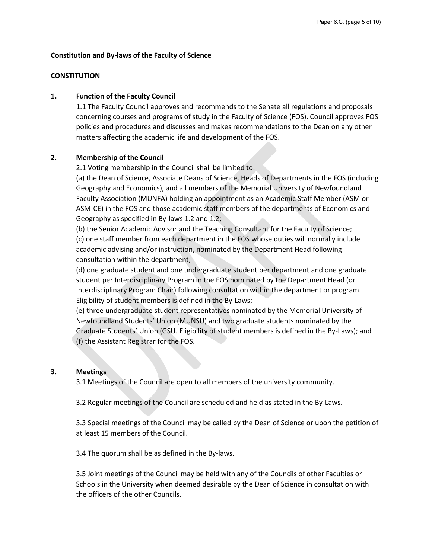#### **Constitution and By-laws of the Faculty of Science**

#### **CONSTITUTION**

#### **1. Function of the Faculty Council**

1.1 The Faculty Council approves and recommends to the Senate all regulations and proposals concerning courses and programs of study in the Faculty of Science (FOS). Council approves FOS policies and procedures and discusses and makes recommendations to the Dean on any other matters affecting the academic life and development of the FOS.

#### **2. Membership of the Council**

2.1 Voting membership in the Council shall be limited to:

(a) the Dean of Science, Associate Deans of Science, Heads of Departments in the FOS (including Geography and Economics), and all members of the Memorial University of Newfoundland Faculty Association (MUNFA) holding an appointment as an Academic Staff Member (ASM or ASM-CE) in the FOS and those academic staff members of the departments of Economics and Geography as specified in By-laws 1.2 and 1.2;

(b) the Senior Academic Advisor and the Teaching Consultant for the Faculty of Science; (c) one staff member from each department in the FOS whose duties will normally include academic advising and/or instruction, nominated by the Department Head following consultation within the department;

(d) one graduate student and one undergraduate student per department and one graduate student per Interdisciplinary Program in the FOS nominated by the Department Head (or Interdisciplinary Program Chair) following consultation within the department or program. Eligibility of student members is defined in the By-Laws;

(e) three undergraduate student representatives nominated by the Memorial University of Newfoundland Students' Union (MUNSU) and two graduate students nominated by the Graduate Students' Union (GSU. Eligibility of student members is defined in the By-Laws); and (f) the Assistant Registrar for the FOS.

#### **3. Meetings**

3.1 Meetings of the Council are open to all members of the university community.

3.2 Regular meetings of the Council are scheduled and held as stated in the By-Laws.

3.3 Special meetings of the Council may be called by the Dean of Science or upon the petition of at least 15 members of the Council.

3.4 The quorum shall be as defined in the By-laws.

3.5 Joint meetings of the Council may be held with any of the Councils of other Faculties or Schools in the University when deemed desirable by the Dean of Science in consultation with the officers of the other Councils.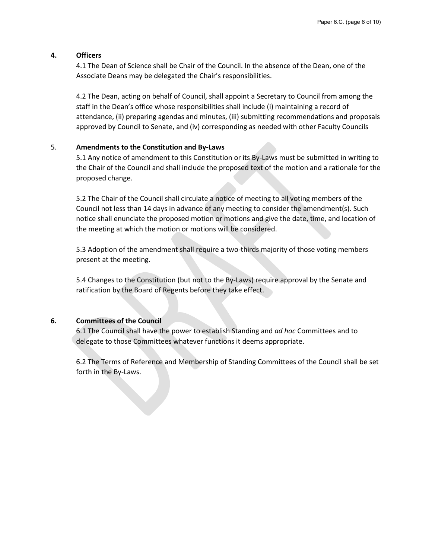#### **4. Officers**

4.1 The Dean of Science shall be Chair of the Council. In the absence of the Dean, one of the Associate Deans may be delegated the Chair's responsibilities.

4.2 The Dean, acting on behalf of Council, shall appoint a Secretary to Council from among the staff in the Dean's office whose responsibilities shall include (i) maintaining a record of attendance, (ii) preparing agendas and minutes, (iii) submitting recommendations and proposals approved by Council to Senate, and (iv) corresponding as needed with other Faculty Councils

#### 5. **Amendments to the Constitution and By-Laws**

5.1 Any notice of amendment to this Constitution or its By-Laws must be submitted in writing to the Chair of the Council and shall include the proposed text of the motion and a rationale for the proposed change.

5.2 The Chair of the Council shall circulate a notice of meeting to all voting members of the Council not less than 14 days in advance of any meeting to consider the amendment(s). Such notice shall enunciate the proposed motion or motions and give the date, time, and location of the meeting at which the motion or motions will be considered.

5.3 Adoption of the amendment shall require a two-thirds majority of those voting members present at the meeting.

5.4 Changes to the Constitution (but not to the By-Laws) require approval by the Senate and ratification by the Board of Regents before they take effect.

#### **6. Committees of the Council**

6.1 The Council shall have the power to establish Standing and *ad hoc* Committees and to delegate to those Committees whatever functions it deems appropriate.

6.2 The Terms of Reference and Membership of Standing Committees of the Council shall be set forth in the By-Laws.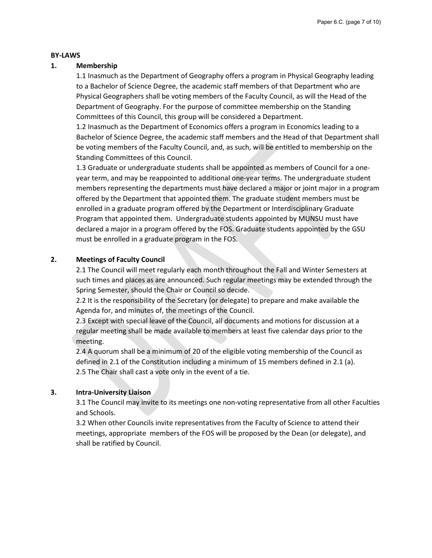#### **BY-LAWS**

#### **1. Membership**

1.1 Inasmuch as the Department of Geography offers a program in Physical Geography leading to a Bachelor of Science Degree, the academic staff members of that Department who are Physical Geographers shall be voting members of the Faculty Council, as will the Head of the Department of Geography. For the purpose of committee membership on the Standing Committees of this Council, this group will be considered a Department.

1.2 Inasmuch as the Department of Economics offers a program in Economics leading to a Bachelor of Science Degree, the academic staff members and the Head of that Department shall be voting members of the Faculty Council, and, as such, will be entitled to membership on the Standing Committees of this Council.

1.3 Graduate or undergraduate students shall be appointed as members of Council for a oneyear term, and may be reappointed to additional one-year terms. The undergraduate student members representing the departments must have declared a major or joint major in a program offered by the Department that appointed them. The graduate student members must be enrolled in a graduate program offered by the Department or Interdisciplinary Graduate Program that appointed them. Undergraduate students appointed by MUNSU must have declared a major in a program offered by the FOS. Graduate students appointed by the GSU must be enrolled in a graduate program in the FOS.

### **2. Meetings of Faculty Council**

2.1 The Council will meet regularly each month throughout the Fall and Winter Semesters at such times and places as are announced. Such regular meetings may be extended through the Spring Semester, should the Chair or Council so decide.

2.2 It is the responsibility of the Secretary (or delegate) to prepare and make available the Agenda for, and minutes of, the meetings of the Council.

2.3 Except with special leave of the Council, all documents and motions for discussion at a regular meeting shall be made available to members at least five calendar days prior to the meeting.

2.4 A quorum shall be a minimum of 20 of the eligible voting membership of the Council as defined in 2.1 of the Constitution including a minimum of 15 members defined in 2.1 (a). 2.5 The Chair shall cast a vote only in the event of a tie.

#### **3. Intra-University Liaison**

3.1 The Council may invite to its meetings one non-voting representative from all other Faculties and Schools.

3.2 When other Councils invite representatives from the Faculty of Science to attend their meetings, appropriate members of the FOS will be proposed by the Dean (or delegate), and shall be ratified by Council.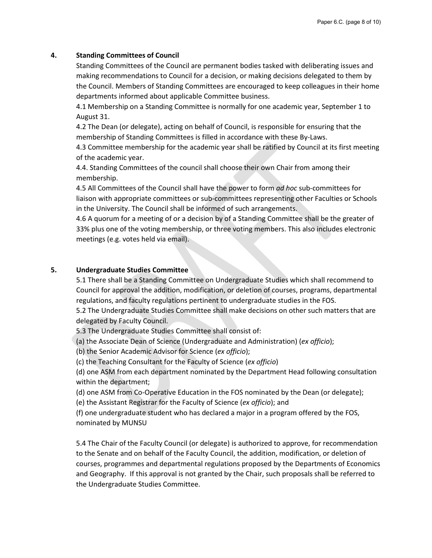#### **4. Standing Committees of Council**

Standing Committees of the Council are permanent bodies tasked with deliberating issues and making recommendations to Council for a decision, or making decisions delegated to them by the Council. Members of Standing Committees are encouraged to keep colleagues in their home departments informed about applicable Committee business.

4.1 Membership on a Standing Committee is normally for one academic year, September 1 to August 31.

4.2 The Dean (or delegate), acting on behalf of Council, is responsible for ensuring that the membership of Standing Committees is filled in accordance with these By-Laws.

4.3 Committee membership for the academic year shall be ratified by Council at its first meeting of the academic year.

4.4. Standing Committees of the council shall choose their own Chair from among their membership.

4.5 All Committees of the Council shall have the power to form *ad hoc* sub-committees for liaison with appropriate committees or sub-committees representing other Faculties or Schools in the University. The Council shall be informed of such arrangements.

4.6 A quorum for a meeting of or a decision by of a Standing Committee shall be the greater of 33% plus one of the voting membership, or three voting members. This also includes electronic meetings (e.g. votes held via email).

#### **5. Undergraduate Studies Committee**

5.1 There shall be a Standing Committee on Undergraduate Studies which shall recommend to Council for approval the addition, modification, or deletion of courses, programs, departmental regulations, and faculty regulations pertinent to undergraduate studies in the FOS.

5.2 The Undergraduate Studies Committee shall make decisions on other such matters that are delegated by Faculty Council.

5.3 The Undergraduate Studies Committee shall consist of:

(a) the Associate Dean of Science (Undergraduate and Administration) (*ex officio*);

(b) the Senior Academic Advisor for Science (*ex officio*);

(c) the Teaching Consultant for the Faculty of Science (*ex officio*)

(d) one ASM from each department nominated by the Department Head following consultation within the department;

(d) one ASM from Co-Operative Education in the FOS nominated by the Dean (or delegate);

(e) the Assistant Registrar for the Faculty of Science (*ex officio*); and

(f) one undergraduate student who has declared a major in a program offered by the FOS, nominated by MUNSU

5.4 The Chair of the Faculty Council (or delegate) is authorized to approve, for recommendation to the Senate and on behalf of the Faculty Council, the addition, modification, or deletion of courses, programmes and departmental regulations proposed by the Departments of Economics and Geography. If this approval is not granted by the Chair, such proposals shall be referred to the Undergraduate Studies Committee.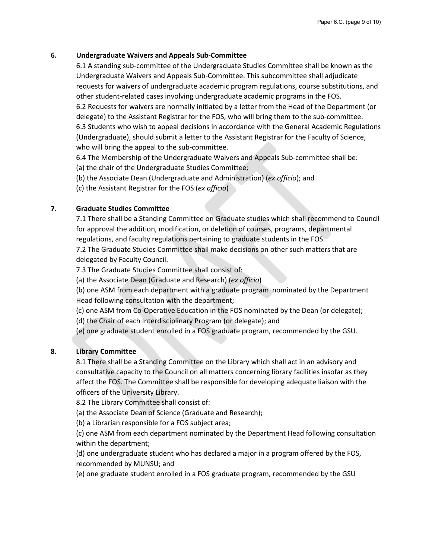#### **6. Undergraduate Waivers and Appeals Sub-Committee**

6.1 A standing sub-committee of the Undergraduate Studies Committee shall be known as the Undergraduate Waivers and Appeals Sub-Committee. This subcommittee shall adjudicate requests for waivers of undergraduate academic program regulations, course substitutions, and other student-related cases involving undergraduate academic programs in the FOS. 6.2 Requests for waivers are normally initiated by a letter from the Head of the Department (or delegate) to the Assistant Registrar for the FOS, who will bring them to the sub-committee. 6.3 Students who wish to appeal decisions in accordance with the General Academic Regulations (Undergraduate), should submit a letter to the Assistant Registrar for the Faculty of Science, who will bring the appeal to the sub-committee.

6.4 The Membership of the Undergraduate Waivers and Appeals Sub-committee shall be:

(a) the chair of the Undergraduate Studies Committee;

(b) the Associate Dean (Undergraduate and Administration) (*ex officio*); and

(c) the Assistant Registrar for the FOS (*ex officio*)

### **7. Graduate Studies Committee**

7.1 There shall be a Standing Committee on Graduate studies which shall recommend to Council for approval the addition, modification, or deletion of courses, programs, departmental regulations, and faculty regulations pertaining to graduate students in the FOS.

7.2 The Graduate Studies Committee shall make decisions on other such matters that are delegated by Faculty Council.

7.3 The Graduate Studies Committee shall consist of:

(a) the Associate Dean (Graduate and Research) (*ex officio*)

(b) one ASM from each department with a graduate program nominated by the Department Head following consultation with the department;

(c) one ASM from Co-Operative Education in the FOS nominated by the Dean (or delegate);

(d) the Chair of each Interdisciplinary Program (or delegate); and

(e) one graduate student enrolled in a FOS graduate program, recommended by the GSU.

### **8. Library Committee**

8.1 There shall be a Standing Committee on the Library which shall act in an advisory and consultative capacity to the Council on all matters concerning library facilities insofar as they affect the FOS. The Committee shall be responsible for developing adequate liaison with the officers of the University Library.

8.2 The Library Committee shall consist of:

(a) the Associate Dean of Science (Graduate and Research);

(b) a Librarian responsible for a FOS subject area;

(c) one ASM from each department nominated by the Department Head following consultation within the department;

(d) one undergraduate student who has declared a major in a program offered by the FOS, recommended by MUNSU; and

(e) one graduate student enrolled in a FOS graduate program, recommended by the GSU